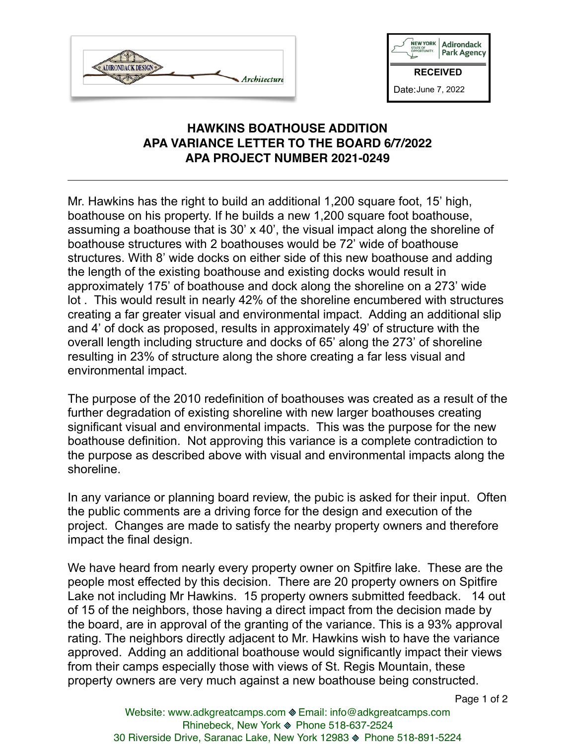



## **HAWKINS BOATHOUSE ADDITION APA VARIANCE LETTER TO THE BOARD 6/7/2022 APA PROJECT NUMBER 2021-0249**

Mr. Hawkins has the right to build an additional 1,200 square foot, 15' high, boathouse on his property. If he builds a new 1,200 square foot boathouse, assuming a boathouse that is 30' x 40', the visual impact along the shoreline of boathouse structures with 2 boathouses would be 72' wide of boathouse structures. With 8' wide docks on either side of this new boathouse and adding the length of the existing boathouse and existing docks would result in approximately 175' of boathouse and dock along the shoreline on a 273' wide lot . This would result in nearly 42% of the shoreline encumbered with structures creating a far greater visual and environmental impact. Adding an additional slip and 4' of dock as proposed, results in approximately 49' of structure with the overall length including structure and docks of 65' along the 273' of shoreline resulting in 23% of structure along the shore creating a far less visual and environmental impact.

The purpose of the 2010 redefinition of boathouses was created as a result of the further degradation of existing shoreline with new larger boathouses creating significant visual and environmental impacts. This was the purpose for the new boathouse definition. Not approving this variance is a complete contradiction to the purpose as described above with visual and environmental impacts along the shoreline.

In any variance or planning board review, the pubic is asked for their input. Often the public comments are a driving force for the design and execution of the project. Changes are made to satisfy the nearby property owners and therefore impact the final design.

We have heard from nearly every property owner on Spitfire lake. These are the people most effected by this decision. There are 20 property owners on Spitfire Lake not including Mr Hawkins. 15 property owners submitted feedback. 14 out of 15 of the neighbors, those having a direct impact from the decision made by the board, are in approval of the granting of the variance. This is a 93% approval rating. The neighbors directly adjacent to Mr. Hawkins wish to have the variance approved. Adding an additional boathouse would significantly impact their views from their camps especially those with views of St. Regis Mountain, these property owners are very much against a new boathouse being constructed.